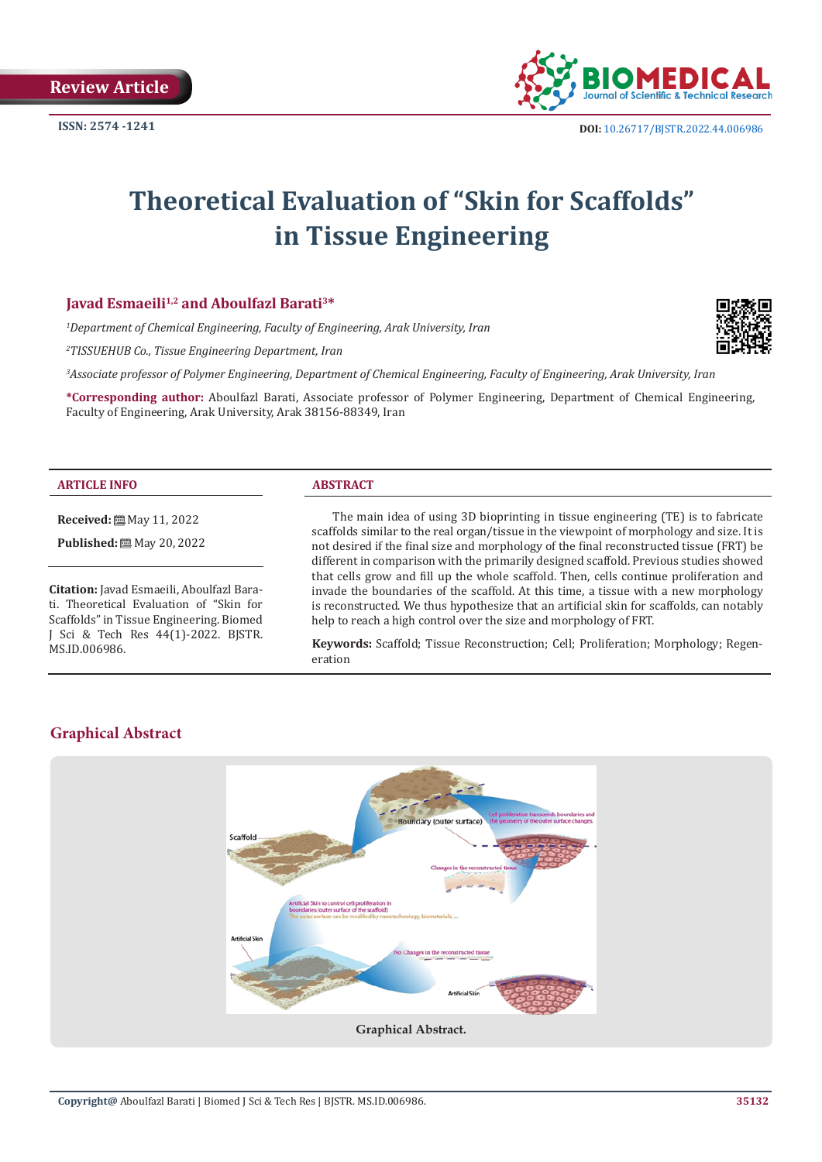

# **Theoretical Evaluation of "Skin for Scaffolds" in Tissue Engineering**

# **Javad Esmaeili<sup>1,2</sup> and Aboulfazl Barati<sup>3\*</sup>**

*1 Department of Chemical Engineering, Faculty of Engineering, Arak University, Iran*

*2 TISSUEHUB Co., Tissue Engineering Department, Iran*

*3 Associate professor of Polymer Engineering, Department of Chemical Engineering, Faculty of Engineering, Arak University, Iran*

**\*Corresponding author:** Aboulfazl Barati, Associate professor of Polymer Engineering, Department of Chemical Engineering, Faculty of Engineering, Arak University, Arak 38156-88349, Iran

#### **ARTICLE INFO ABSTRACT**

**Received:** May 11, 2022

**Published:** 圖 May 20, 2022

**Citation:** Javad Esmaeili, Aboulfazl Barati. Theoretical Evaluation of "Skin for Scaffolds" in Tissue Engineering. Biomed J Sci & Tech Res 44(1)-2022. BJSTR. MS.ID.006986.

The main idea of using 3D bioprinting in tissue engineering (TE) is to fabricate scaffolds similar to the real organ/tissue in the viewpoint of morphology and size. It is not desired if the final size and morphology of the final reconstructed tissue (FRT) be different in comparison with the primarily designed scaffold. Previous studies showed that cells grow and fill up the whole scaffold. Then, cells continue proliferation and invade the boundaries of the scaffold. At this time, a tissue with a new morphology is reconstructed. We thus hypothesize that an artificial skin for scaffolds, can notably help to reach a high control over the size and morphology of FRT.

**Keywords:** Scaffold; Tissue Reconstruction; Cell; Proliferation; Morphology; Regeneration



# **Graphical Abstract**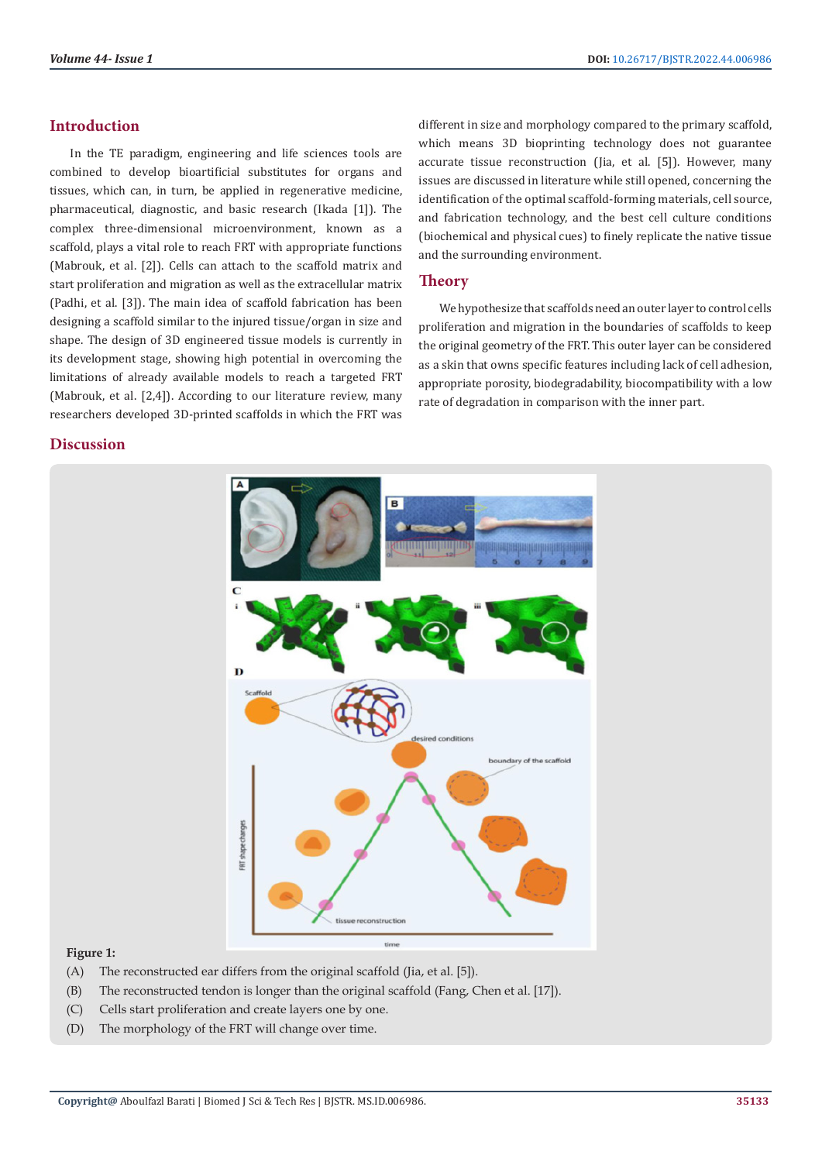# **Introduction**

In the TE paradigm, engineering and life sciences tools are combined to develop bioartificial substitutes for organs and tissues, which can, in turn, be applied in regenerative medicine, pharmaceutical, diagnostic, and basic research (Ikada [1]). The complex three-dimensional microenvironment, known as a scaffold, plays a vital role to reach FRT with appropriate functions (Mabrouk, et al. [2]). Cells can attach to the scaffold matrix and start proliferation and migration as well as the extracellular matrix (Padhi, et al. [3]). The main idea of scaffold fabrication has been designing a scaffold similar to the injured tissue/organ in size and shape. The design of 3D engineered tissue models is currently in its development stage, showing high potential in overcoming the limitations of already available models to reach a targeted FRT (Mabrouk, et al. [2,4]). According to our literature review, many researchers developed 3D-printed scaffolds in which the FRT was

# **Discussion**

different in size and morphology compared to the primary scaffold, which means 3D bioprinting technology does not guarantee accurate tissue reconstruction (Jia, et al. [5]). However, many issues are discussed in literature while still opened, concerning the identification of the optimal scaffold-forming materials, cell source, and fabrication technology, and the best cell culture conditions (biochemical and physical cues) to finely replicate the native tissue and the surrounding environment.

# **Theory**

We hypothesize that scaffolds need an outer layer to control cells proliferation and migration in the boundaries of scaffolds to keep the original geometry of the FRT. This outer layer can be considered as a skin that owns specific features including lack of cell adhesion, appropriate porosity, biodegradability, biocompatibility with a low rate of degradation in comparison with the inner part.



#### **Figure 1:**

- (A) The reconstructed ear differs from the original scaffold (Jia, et al. [5]).
- (B) The reconstructed tendon is longer than the original scaffold (Fang, Chen et al. [17]).
- (C) Cells start proliferation and create layers one by one.
- (D) The morphology of the FRT will change over time.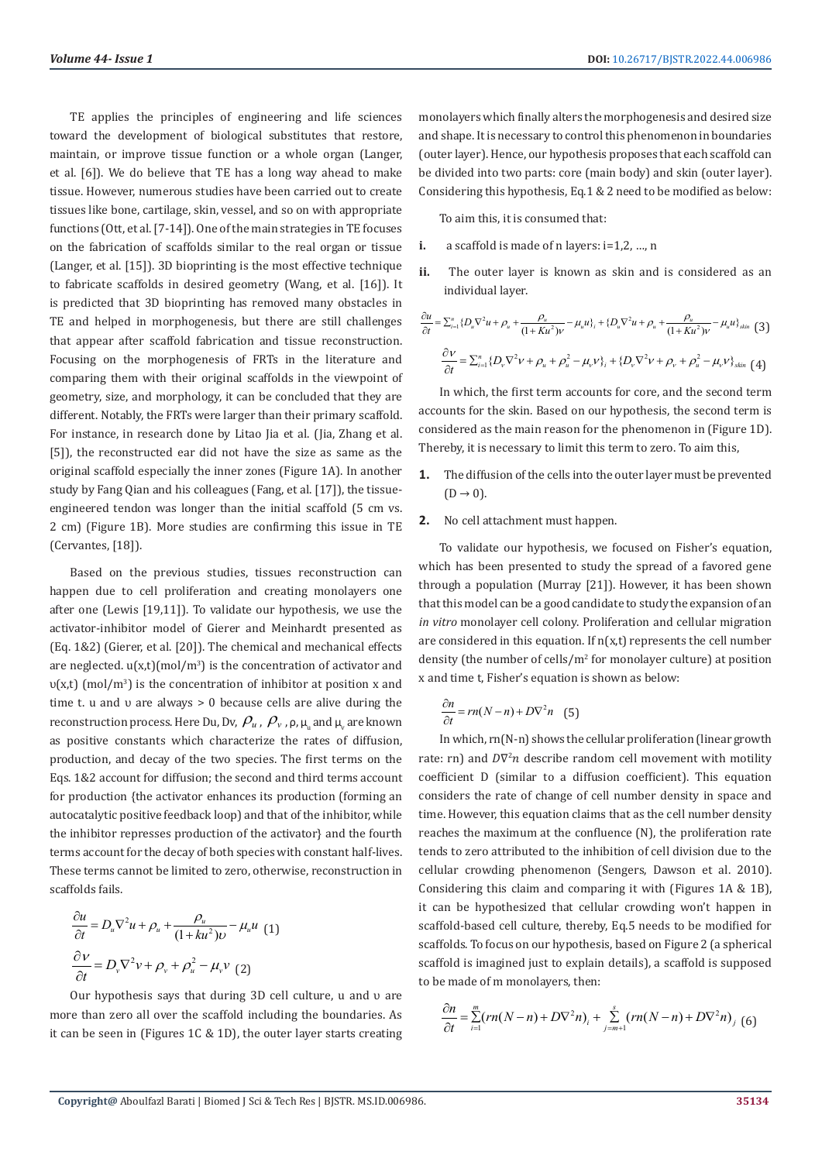TE applies the principles of engineering and life sciences toward the development of biological substitutes that restore, maintain, or improve tissue function or a whole organ (Langer, et al. [6]). We do believe that TE has a long way ahead to make tissue. However, numerous studies have been carried out to create tissues like bone, cartilage, skin, vessel, and so on with appropriate functions (Ott, et al. [7-14]). One of the main strategies in TE focuses on the fabrication of scaffolds similar to the real organ or tissue (Langer, et al. [15]). 3D bioprinting is the most effective technique to fabricate scaffolds in desired geometry (Wang, et al. [16]). It is predicted that 3D bioprinting has removed many obstacles in TE and helped in morphogenesis, but there are still challenges that appear after scaffold fabrication and tissue reconstruction. Focusing on the morphogenesis of FRTs in the literature and comparing them with their original scaffolds in the viewpoint of geometry, size, and morphology, it can be concluded that they are different. Notably, the FRTs were larger than their primary scaffold. For instance, in research done by Litao Jia et al. (Jia, Zhang et al. [5]), the reconstructed ear did not have the size as same as the original scaffold especially the inner zones (Figure 1A). In another study by Fang Qian and his colleagues (Fang, et al. [17]), the tissueengineered tendon was longer than the initial scaffold (5 cm vs. 2 cm) (Figure 1B). More studies are confirming this issue in TE (Cervantes, [18]).

Based on the previous studies, tissues reconstruction can happen due to cell proliferation and creating monolayers one after one (Lewis [19,11]). To validate our hypothesis, we use the activator-inhibitor model of Gierer and Meinhardt presented as (Eq. 1&2) (Gierer, et al. [20]). The chemical and mechanical effects are neglected.  $u(x,t)$  (mol/m<sup>3</sup>) is the concentration of activator and υ(x,t) (mol/m<sup>3</sup>) is the concentration of inhibitor at position x and time t. u and υ are always > 0 because cells are alive during the reconstruction process. Here Du, Dv,  $\,\rho_{\scriptscriptstyle u}$  ,  $\,\rho_{\scriptscriptstyle v}$  ,  $\rho$ ,  $\mu_{\scriptscriptstyle u}$  and  $\mu_{\scriptscriptstyle v}$  are known as positive constants which characterize the rates of diffusion, production, and decay of the two species. The first terms on the Eqs. 1&2 account for diffusion; the second and third terms account for production {the activator enhances its production (forming an autocatalytic positive feedback loop) and that of the inhibitor, while the inhibitor represses production of the activator} and the fourth terms account for the decay of both species with constant half-lives. These terms cannot be limited to zero, otherwise, reconstruction in scaffolds fails.

$$
\frac{\partial u}{\partial t} = D_u \nabla^2 u + \rho_u + \frac{\rho_u}{(1 + ku^2)v} - \mu_u u
$$
 (1)  

$$
\frac{\partial v}{\partial t} = D_v \nabla^2 v + \rho_v + \rho_u^2 - \mu_v v
$$
 (2)

Our hypothesis says that during 3D cell culture, u and υ are more than zero all over the scaffold including the boundaries. As it can be seen in (Figures 1C & 1D), the outer layer starts creating monolayers which finally alters the morphogenesis and desired size and shape. It is necessary to control this phenomenon in boundaries (outer layer). Hence, our hypothesis proposes that each scaffold can be divided into two parts: core (main body) and skin (outer layer). Considering this hypothesis, Eq.1 & 2 need to be modified as below:

To aim this, it is consumed that:

- **i.** a scaffold is made of n layers: i=1,2, …, n
- **ii.** The outer layer is known as skin and is considered as an individual layer.

$$
\frac{\partial u}{\partial t} = \sum_{i=1}^{n} \{D_{u}\nabla^{2}u + \rho_{u} + \frac{\rho_{u}}{(1+Ku^{2})\nu} - \mu_{u}u\}_{i} + \{D_{u}\nabla^{2}u + \rho_{u} + \frac{\rho_{u}}{(1+Ku^{2})\nu} - \mu_{u}u\}_{\text{skin}} \quad (3)
$$

$$
\frac{\partial v}{\partial t} = \sum_{i=1}^{n} \{D_{v}\nabla^{2}v + \rho_{u} + \rho_{u}^{2} - \mu_{v}v\}_{i} + \{D_{v}\nabla^{2}v + \rho_{v} + \rho_{u}^{2} - \mu_{v}v\}_{\text{skin}} \quad (4)
$$

In which, the first term accounts for core, and the second term accounts for the skin. Based on our hypothesis, the second term is considered as the main reason for the phenomenon in (Figure 1D). Thereby, it is necessary to limit this term to zero. To aim this,

- **1.** The diffusion of the cells into the outer layer must be prevented  $(D \rightarrow 0)$ .
- **2.** No cell attachment must happen.

To validate our hypothesis, we focused on Fisher's equation, which has been presented to study the spread of a favored gene through a population (Murray [21]). However, it has been shown that this model can be a good candidate to study the expansion of an *in vitro* monolayer cell colony. Proliferation and cellular migration are considered in this equation. If  $n(x,t)$  represents the cell number density (the number of cells/m<sup>2</sup> for monolayer culture) at position x and time t, Fisher's equation is shown as below:

$$
\frac{\partial n}{\partial t} = rn(N - n) + D\nabla^2 n \quad (5)
$$

In which, rn(N-n) shows the cellular proliferation (linear growth rate: rn) and  $D\nabla^2 n$  describe random cell movement with motility coefficient D (similar to a diffusion coefficient). This equation considers the rate of change of cell number density in space and time. However, this equation claims that as the cell number density reaches the maximum at the confluence (N), the proliferation rate tends to zero attributed to the inhibition of cell division due to the cellular crowding phenomenon (Sengers, Dawson et al. 2010). Considering this claim and comparing it with (Figures 1A & 1B), it can be hypothesized that cellular crowding won't happen in scaffold-based cell culture, thereby, Eq.5 needs to be modified for scaffolds. To focus on our hypothesis, based on Figure 2 (a spherical scaffold is imagined just to explain details), a scaffold is supposed to be made of m monolayers, then:

$$
\frac{\partial n}{\partial t} = \sum_{i=1}^{m} (rn(N-n) + D\nabla^{2} n)_{i} + \sum_{j=m+1}^{s} (rn(N-n) + D\nabla^{2} n)_{j} (6)
$$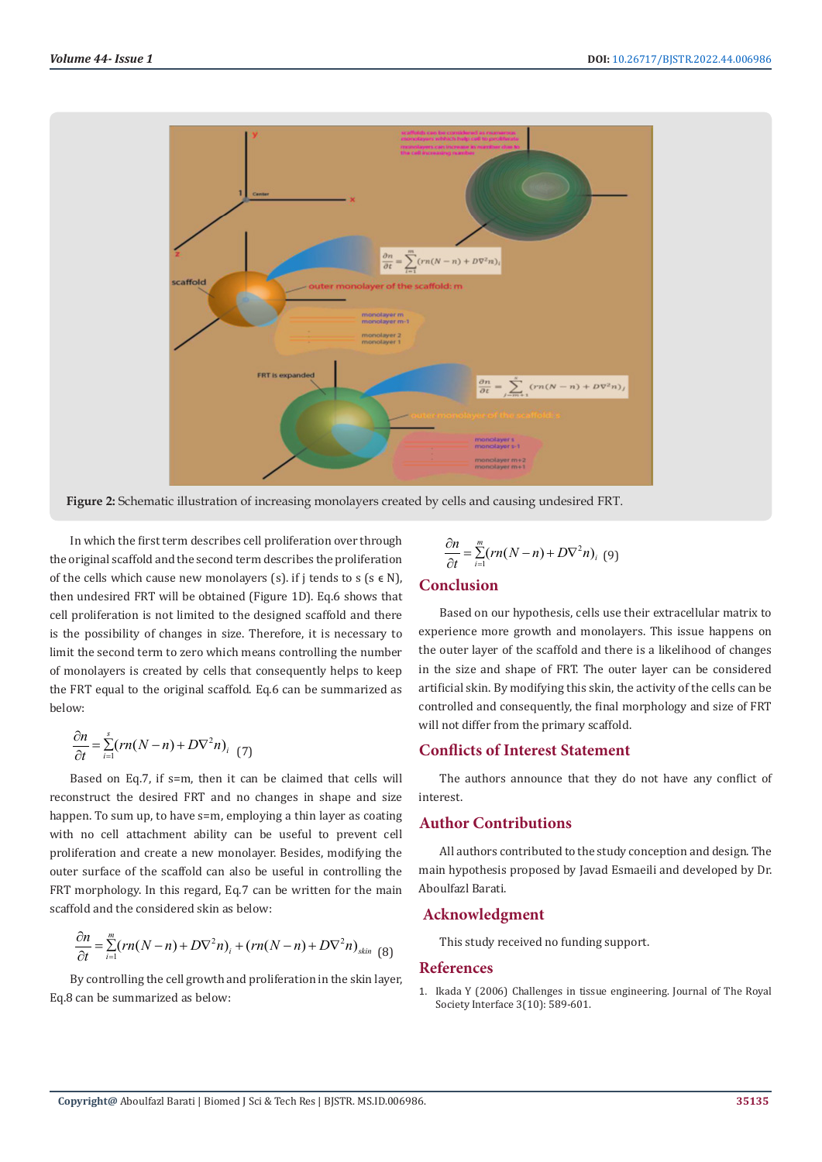

**Figure 2:** Schematic illustration of increasing monolayers created by cells and causing undesired FRT.

In which the first term describes cell proliferation over through the original scaffold and the second term describes the proliferation of the cells which cause new monolayers (s). if j tends to  $s$  ( $s \in N$ ), then undesired FRT will be obtained (Figure 1D). Eq.6 shows that cell proliferation is not limited to the designed scaffold and there is the possibility of changes in size. Therefore, it is necessary to limit the second term to zero which means controlling the number of monolayers is created by cells that consequently helps to keep the FRT equal to the original scaffold. Eq.6 can be summarized as below:

$$
\frac{\partial n}{\partial t} = \sum_{i=1}^{s} (rn(N-n) + D\nabla^2 n)_{i} \tag{7}
$$

Based on Eq.7, if s=m, then it can be claimed that cells will reconstruct the desired FRT and no changes in shape and size happen. To sum up, to have s=m, employing a thin layer as coating with no cell attachment ability can be useful to prevent cell proliferation and create a new monolayer. Besides, modifying the outer surface of the scaffold can also be useful in controlling the FRT morphology. In this regard, Eq.7 can be written for the main scaffold and the considered skin as below:

$$
\frac{\partial n}{\partial t} = \sum_{i=1}^{m} (rn(N-n) + D\nabla^2 n)_i + (rn(N-n) + D\nabla^2 n)_{\text{skin}} \tag{8}
$$

By controlling the cell growth and proliferation in the skin layer, Eq.8 can be summarized as below:

$$
\frac{\partial n}{\partial t} = \sum_{i=1}^{m} (rn(N-n) + D\nabla^2 n)_i \tag{9}
$$

# **Conclusion**

Based on our hypothesis, cells use their extracellular matrix to experience more growth and monolayers. This issue happens on the outer layer of the scaffold and there is a likelihood of changes in the size and shape of FRT. The outer layer can be considered artificial skin. By modifying this skin, the activity of the cells can be controlled and consequently, the final morphology and size of FRT will not differ from the primary scaffold.

## **Conflicts of Interest Statement**

The authors announce that they do not have any conflict of interest.

# **Author Contributions**

All authors contributed to the study conception and design. The main hypothesis proposed by Javad Esmaeili and developed by Dr. Aboulfazl Barati.

#### **Acknowledgment**

This study received no funding support.

#### **References**

1. [Ikada Y \(2006\) Challenges in tissue engineering. Journal of The Royal](https://royalsocietypublishing.org/doi/10.1098/rsif.2006.0124) [Society Interface 3\(10\): 589-601.](https://royalsocietypublishing.org/doi/10.1098/rsif.2006.0124)